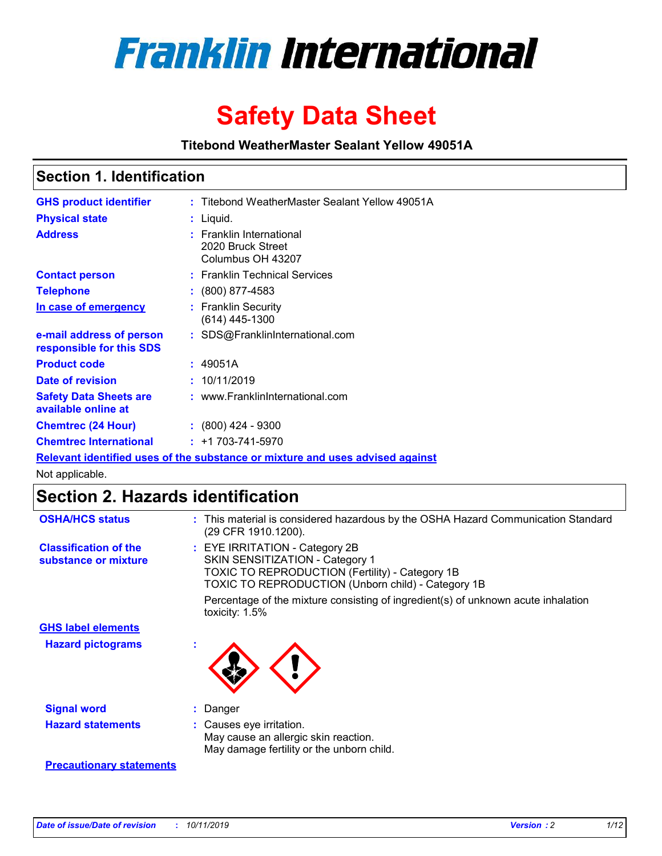

# **Safety Data Sheet**

**Titebond WeatherMaster Sealant Yellow 49051A**

### **Section 1. Identification**

| <b>GHS product identifier</b>                        | : Titebond WeatherMaster Sealant Yellow 49051A                                |
|------------------------------------------------------|-------------------------------------------------------------------------------|
| <b>Physical state</b>                                | : Liquid.                                                                     |
| <b>Address</b>                                       | : Franklin International<br>2020 Bruck Street<br>Columbus OH 43207            |
| <b>Contact person</b>                                | : Franklin Technical Services                                                 |
| <b>Telephone</b>                                     | $\colon$ (800) 877-4583                                                       |
| In case of emergency                                 | : Franklin Security<br>(614) 445-1300                                         |
| e-mail address of person<br>responsible for this SDS | : SDS@FranklinInternational.com                                               |
| <b>Product code</b>                                  | : 49051A                                                                      |
| Date of revision                                     | : 10/11/2019                                                                  |
| <b>Safety Data Sheets are</b><br>available online at | : www.FranklinInternational.com                                               |
| <b>Chemtrec (24 Hour)</b>                            | $: (800)$ 424 - 9300                                                          |
| <b>Chemtrec International</b>                        | $: +1703 - 741 - 5970$                                                        |
|                                                      | Relevant identified uses of the substance or mixture and uses advised against |

Not applicable.

## **Section 2. Hazards identification**

| <b>OSHA/HCS status</b>                               | : This material is considered hazardous by the OSHA Hazard Communication Standard<br>(29 CFR 1910.1200).                                                                                 |
|------------------------------------------------------|------------------------------------------------------------------------------------------------------------------------------------------------------------------------------------------|
| <b>Classification of the</b><br>substance or mixture | : EYE IRRITATION - Category 2B<br>SKIN SENSITIZATION - Category 1<br><b>TOXIC TO REPRODUCTION (Fertility) - Category 1B</b><br><b>TOXIC TO REPRODUCTION (Unborn child) - Category 1B</b> |
|                                                      | Percentage of the mixture consisting of ingredient(s) of unknown acute inhalation<br>toxicity: $1.5\%$                                                                                   |
| <b>GHS label elements</b>                            |                                                                                                                                                                                          |
| <b>Hazard pictograms</b>                             |                                                                                                                                                                                          |
| <b>Signal word</b>                                   | : Danger                                                                                                                                                                                 |
| <b>Hazard statements</b>                             | : Causes eye irritation.<br>May cause an allergic skin reaction.<br>May damage fertility or the unborn child.                                                                            |
| <b>Precautionary statements</b>                      |                                                                                                                                                                                          |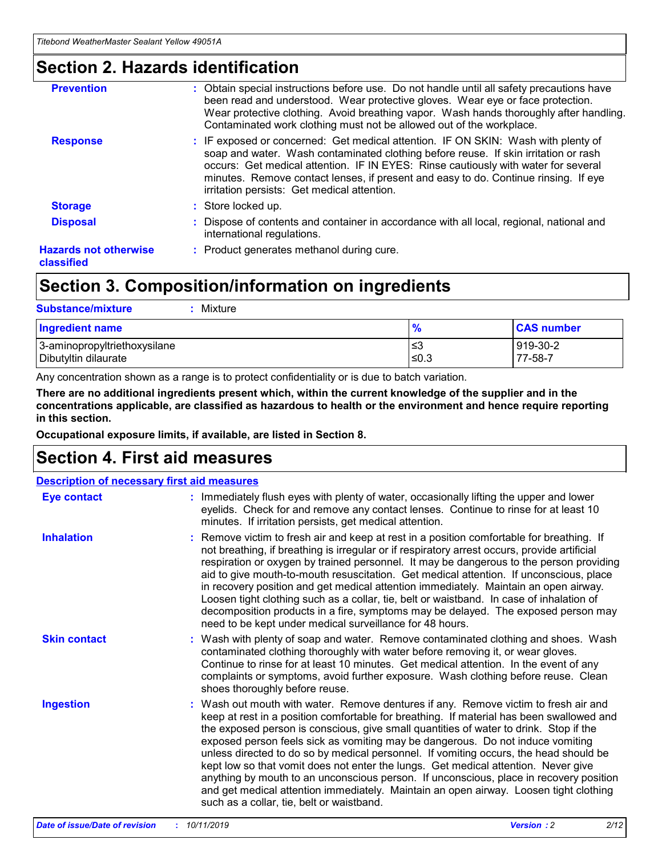### **Section 2. Hazards identification**

| <b>Prevention</b>                          | : Obtain special instructions before use. Do not handle until all safety precautions have<br>been read and understood. Wear protective gloves. Wear eye or face protection.<br>Wear protective clothing. Avoid breathing vapor. Wash hands thoroughly after handling.<br>Contaminated work clothing must not be allowed out of the workplace.                                                        |
|--------------------------------------------|------------------------------------------------------------------------------------------------------------------------------------------------------------------------------------------------------------------------------------------------------------------------------------------------------------------------------------------------------------------------------------------------------|
| <b>Response</b>                            | : IF exposed or concerned: Get medical attention. IF ON SKIN: Wash with plenty of<br>soap and water. Wash contaminated clothing before reuse. If skin irritation or rash<br>occurs: Get medical attention. IF IN EYES: Rinse cautiously with water for several<br>minutes. Remove contact lenses, if present and easy to do. Continue rinsing. If eye<br>irritation persists: Get medical attention. |
| <b>Storage</b>                             | : Store locked up.                                                                                                                                                                                                                                                                                                                                                                                   |
| <b>Disposal</b>                            | : Dispose of contents and container in accordance with all local, regional, national and<br>international regulations.                                                                                                                                                                                                                                                                               |
| <b>Hazards not otherwise</b><br>classified | : Product generates methanol during cure.                                                                                                                                                                                                                                                                                                                                                            |
|                                            |                                                                                                                                                                                                                                                                                                                                                                                                      |

### **Section 3. Composition/information on ingredients**

| <b>Substance/mixture</b><br>Mixture                  |                   |                     |
|------------------------------------------------------|-------------------|---------------------|
| Ingredient name                                      | $\frac{9}{6}$     | <b>CAS number</b>   |
| 3-aminopropyltriethoxysilane<br>Dibutyltin dilaurate | l≤3<br>$\leq 0.3$ | 919-30-2<br>77-58-7 |

Any concentration shown as a range is to protect confidentiality or is due to batch variation.

**There are no additional ingredients present which, within the current knowledge of the supplier and in the concentrations applicable, are classified as hazardous to health or the environment and hence require reporting in this section.**

**Occupational exposure limits, if available, are listed in Section 8.**

### **Section 4. First aid measures**

| <b>Description of necessary first aid measures</b> |                                                                                                                                                                                                                                                                                                                                                                                                                                                                                                                                                                                                                                                                                                                                                                           |  |  |  |
|----------------------------------------------------|---------------------------------------------------------------------------------------------------------------------------------------------------------------------------------------------------------------------------------------------------------------------------------------------------------------------------------------------------------------------------------------------------------------------------------------------------------------------------------------------------------------------------------------------------------------------------------------------------------------------------------------------------------------------------------------------------------------------------------------------------------------------------|--|--|--|
| <b>Eye contact</b>                                 | : Immediately flush eyes with plenty of water, occasionally lifting the upper and lower<br>eyelids. Check for and remove any contact lenses. Continue to rinse for at least 10<br>minutes. If irritation persists, get medical attention.                                                                                                                                                                                                                                                                                                                                                                                                                                                                                                                                 |  |  |  |
| <b>Inhalation</b>                                  | : Remove victim to fresh air and keep at rest in a position comfortable for breathing. If<br>not breathing, if breathing is irregular or if respiratory arrest occurs, provide artificial<br>respiration or oxygen by trained personnel. It may be dangerous to the person providing<br>aid to give mouth-to-mouth resuscitation. Get medical attention. If unconscious, place<br>in recovery position and get medical attention immediately. Maintain an open airway.<br>Loosen tight clothing such as a collar, tie, belt or waistband. In case of inhalation of<br>decomposition products in a fire, symptoms may be delayed. The exposed person may<br>need to be kept under medical surveillance for 48 hours.                                                       |  |  |  |
| <b>Skin contact</b>                                | : Wash with plenty of soap and water. Remove contaminated clothing and shoes. Wash<br>contaminated clothing thoroughly with water before removing it, or wear gloves.<br>Continue to rinse for at least 10 minutes. Get medical attention. In the event of any<br>complaints or symptoms, avoid further exposure. Wash clothing before reuse. Clean<br>shoes thoroughly before reuse.                                                                                                                                                                                                                                                                                                                                                                                     |  |  |  |
| <b>Ingestion</b>                                   | : Wash out mouth with water. Remove dentures if any. Remove victim to fresh air and<br>keep at rest in a position comfortable for breathing. If material has been swallowed and<br>the exposed person is conscious, give small quantities of water to drink. Stop if the<br>exposed person feels sick as vomiting may be dangerous. Do not induce vomiting<br>unless directed to do so by medical personnel. If vomiting occurs, the head should be<br>kept low so that vomit does not enter the lungs. Get medical attention. Never give<br>anything by mouth to an unconscious person. If unconscious, place in recovery position<br>and get medical attention immediately. Maintain an open airway. Loosen tight clothing<br>such as a collar, tie, belt or waistband. |  |  |  |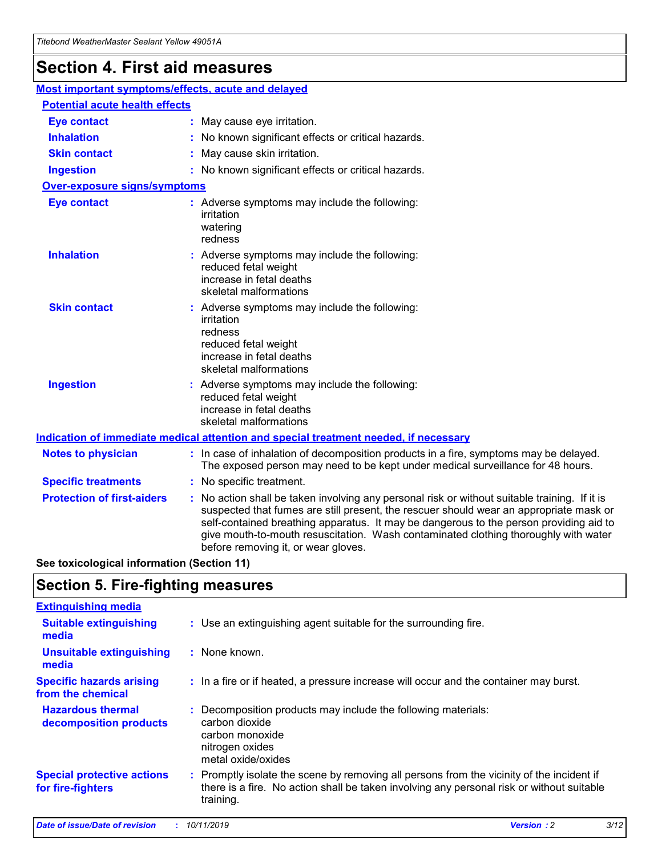## **Section 4. First aid measures**

| Most important symptoms/effects, acute and delayed                                                       |                                                                                                                             |                                                                                                                                                                                                                                                                                                                                                                                                                 |  |  |
|----------------------------------------------------------------------------------------------------------|-----------------------------------------------------------------------------------------------------------------------------|-----------------------------------------------------------------------------------------------------------------------------------------------------------------------------------------------------------------------------------------------------------------------------------------------------------------------------------------------------------------------------------------------------------------|--|--|
| <b>Potential acute health effects</b>                                                                    |                                                                                                                             |                                                                                                                                                                                                                                                                                                                                                                                                                 |  |  |
| <b>Eye contact</b>                                                                                       | : May cause eye irritation.                                                                                                 |                                                                                                                                                                                                                                                                                                                                                                                                                 |  |  |
| <b>Inhalation</b>                                                                                        |                                                                                                                             | : No known significant effects or critical hazards.                                                                                                                                                                                                                                                                                                                                                             |  |  |
| <b>Skin contact</b>                                                                                      |                                                                                                                             | : May cause skin irritation.                                                                                                                                                                                                                                                                                                                                                                                    |  |  |
| <b>Ingestion</b>                                                                                         |                                                                                                                             | : No known significant effects or critical hazards.                                                                                                                                                                                                                                                                                                                                                             |  |  |
| <b>Over-exposure signs/symptoms</b>                                                                      |                                                                                                                             |                                                                                                                                                                                                                                                                                                                                                                                                                 |  |  |
| <b>Eye contact</b><br>: Adverse symptoms may include the following:<br>irritation<br>watering<br>redness |                                                                                                                             |                                                                                                                                                                                                                                                                                                                                                                                                                 |  |  |
| <b>Inhalation</b>                                                                                        |                                                                                                                             | : Adverse symptoms may include the following:<br>reduced fetal weight<br>increase in fetal deaths<br>skeletal malformations                                                                                                                                                                                                                                                                                     |  |  |
| <b>Skin contact</b>                                                                                      |                                                                                                                             | : Adverse symptoms may include the following:<br>irritation<br>redness<br>reduced fetal weight<br>increase in fetal deaths<br>skeletal malformations                                                                                                                                                                                                                                                            |  |  |
| <b>Ingestion</b>                                                                                         | : Adverse symptoms may include the following:<br>reduced fetal weight<br>increase in fetal deaths<br>skeletal malformations |                                                                                                                                                                                                                                                                                                                                                                                                                 |  |  |
| <b>Indication of immediate medical attention and special treatment needed, if necessary</b>              |                                                                                                                             |                                                                                                                                                                                                                                                                                                                                                                                                                 |  |  |
| <b>Notes to physician</b>                                                                                |                                                                                                                             | : In case of inhalation of decomposition products in a fire, symptoms may be delayed.<br>The exposed person may need to be kept under medical surveillance for 48 hours.                                                                                                                                                                                                                                        |  |  |
| <b>Specific treatments</b>                                                                               |                                                                                                                             | : No specific treatment.                                                                                                                                                                                                                                                                                                                                                                                        |  |  |
| <b>Protection of first-aiders</b>                                                                        |                                                                                                                             | : No action shall be taken involving any personal risk or without suitable training. If it is<br>suspected that fumes are still present, the rescuer should wear an appropriate mask or<br>self-contained breathing apparatus. It may be dangerous to the person providing aid to<br>give mouth-to-mouth resuscitation. Wash contaminated clothing thoroughly with water<br>before removing it, or wear gloves. |  |  |

**See toxicological information (Section 11)**

### **Section 5. Fire-fighting measures**

| <b>Extinguishing media</b>                             |                                                                                                                                                                                                     |
|--------------------------------------------------------|-----------------------------------------------------------------------------------------------------------------------------------------------------------------------------------------------------|
| <b>Suitable extinguishing</b><br>media                 | : Use an extinguishing agent suitable for the surrounding fire.                                                                                                                                     |
| <b>Unsuitable extinguishing</b><br>media               | : None known.                                                                                                                                                                                       |
| <b>Specific hazards arising</b><br>from the chemical   | : In a fire or if heated, a pressure increase will occur and the container may burst.                                                                                                               |
| <b>Hazardous thermal</b><br>decomposition products     | : Decomposition products may include the following materials:<br>carbon dioxide<br>carbon monoxide<br>nitrogen oxides<br>metal oxide/oxides                                                         |
| <b>Special protective actions</b><br>for fire-fighters | : Promptly isolate the scene by removing all persons from the vicinity of the incident if<br>there is a fire. No action shall be taken involving any personal risk or without suitable<br>training. |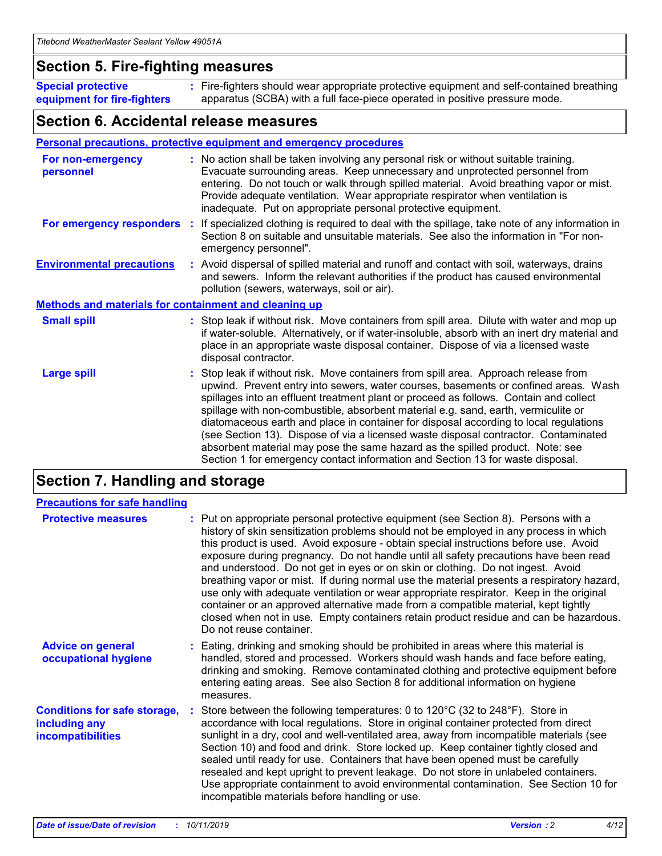### **Section 5. Fire-fighting measures**

**Special protective equipment for fire-fighters** Fire-fighters should wear appropriate protective equipment and self-contained breathing **:** apparatus (SCBA) with a full face-piece operated in positive pressure mode.

### **Section 6. Accidental release measures**

#### **Personal precautions, protective equipment and emergency procedures**

| For non-emergency<br>personnel                               | : No action shall be taken involving any personal risk or without suitable training.<br>Evacuate surrounding areas. Keep unnecessary and unprotected personnel from<br>entering. Do not touch or walk through spilled material. Avoid breathing vapor or mist.<br>Provide adequate ventilation. Wear appropriate respirator when ventilation is<br>inadequate. Put on appropriate personal protective equipment.                                                                                                                                                                                                                                                                                             |
|--------------------------------------------------------------|--------------------------------------------------------------------------------------------------------------------------------------------------------------------------------------------------------------------------------------------------------------------------------------------------------------------------------------------------------------------------------------------------------------------------------------------------------------------------------------------------------------------------------------------------------------------------------------------------------------------------------------------------------------------------------------------------------------|
| For emergency responders                                     | : If specialized clothing is required to deal with the spillage, take note of any information in<br>Section 8 on suitable and unsuitable materials. See also the information in "For non-<br>emergency personnel".                                                                                                                                                                                                                                                                                                                                                                                                                                                                                           |
| <b>Environmental precautions</b>                             | : Avoid dispersal of spilled material and runoff and contact with soil, waterways, drains<br>and sewers. Inform the relevant authorities if the product has caused environmental<br>pollution (sewers, waterways, soil or air).                                                                                                                                                                                                                                                                                                                                                                                                                                                                              |
| <b>Methods and materials for containment and cleaning up</b> |                                                                                                                                                                                                                                                                                                                                                                                                                                                                                                                                                                                                                                                                                                              |
| <b>Small spill</b>                                           | : Stop leak if without risk. Move containers from spill area. Dilute with water and mop up<br>if water-soluble. Alternatively, or if water-insoluble, absorb with an inert dry material and<br>place in an appropriate waste disposal container. Dispose of via a licensed waste<br>disposal contractor.                                                                                                                                                                                                                                                                                                                                                                                                     |
| <b>Large spill</b>                                           | : Stop leak if without risk. Move containers from spill area. Approach release from<br>upwind. Prevent entry into sewers, water courses, basements or confined areas. Wash<br>spillages into an effluent treatment plant or proceed as follows. Contain and collect<br>spillage with non-combustible, absorbent material e.g. sand, earth, vermiculite or<br>diatomaceous earth and place in container for disposal according to local regulations<br>(see Section 13). Dispose of via a licensed waste disposal contractor. Contaminated<br>absorbent material may pose the same hazard as the spilled product. Note: see<br>Section 1 for emergency contact information and Section 13 for waste disposal. |

### **Section 7. Handling and storage**

| <b>Precautions for safe handling</b>                                             |                                                                                                                                                                                                                                                                                                                                                                                                                                                                                                                                                                                                                                                                                                                                                                                                                                                  |
|----------------------------------------------------------------------------------|--------------------------------------------------------------------------------------------------------------------------------------------------------------------------------------------------------------------------------------------------------------------------------------------------------------------------------------------------------------------------------------------------------------------------------------------------------------------------------------------------------------------------------------------------------------------------------------------------------------------------------------------------------------------------------------------------------------------------------------------------------------------------------------------------------------------------------------------------|
| <b>Protective measures</b>                                                       | : Put on appropriate personal protective equipment (see Section 8). Persons with a<br>history of skin sensitization problems should not be employed in any process in which<br>this product is used. Avoid exposure - obtain special instructions before use. Avoid<br>exposure during pregnancy. Do not handle until all safety precautions have been read<br>and understood. Do not get in eyes or on skin or clothing. Do not ingest. Avoid<br>breathing vapor or mist. If during normal use the material presents a respiratory hazard,<br>use only with adequate ventilation or wear appropriate respirator. Keep in the original<br>container or an approved alternative made from a compatible material, kept tightly<br>closed when not in use. Empty containers retain product residue and can be hazardous.<br>Do not reuse container. |
| <b>Advice on general</b><br>occupational hygiene                                 | : Eating, drinking and smoking should be prohibited in areas where this material is<br>handled, stored and processed. Workers should wash hands and face before eating,<br>drinking and smoking. Remove contaminated clothing and protective equipment before<br>entering eating areas. See also Section 8 for additional information on hygiene<br>measures.                                                                                                                                                                                                                                                                                                                                                                                                                                                                                    |
| <b>Conditions for safe storage,</b><br>including any<br><b>incompatibilities</b> | Store between the following temperatures: 0 to 120°C (32 to 248°F). Store in<br>accordance with local regulations. Store in original container protected from direct<br>sunlight in a dry, cool and well-ventilated area, away from incompatible materials (see<br>Section 10) and food and drink. Store locked up. Keep container tightly closed and<br>sealed until ready for use. Containers that have been opened must be carefully<br>resealed and kept upright to prevent leakage. Do not store in unlabeled containers.<br>Use appropriate containment to avoid environmental contamination. See Section 10 for<br>incompatible materials before handling or use.                                                                                                                                                                         |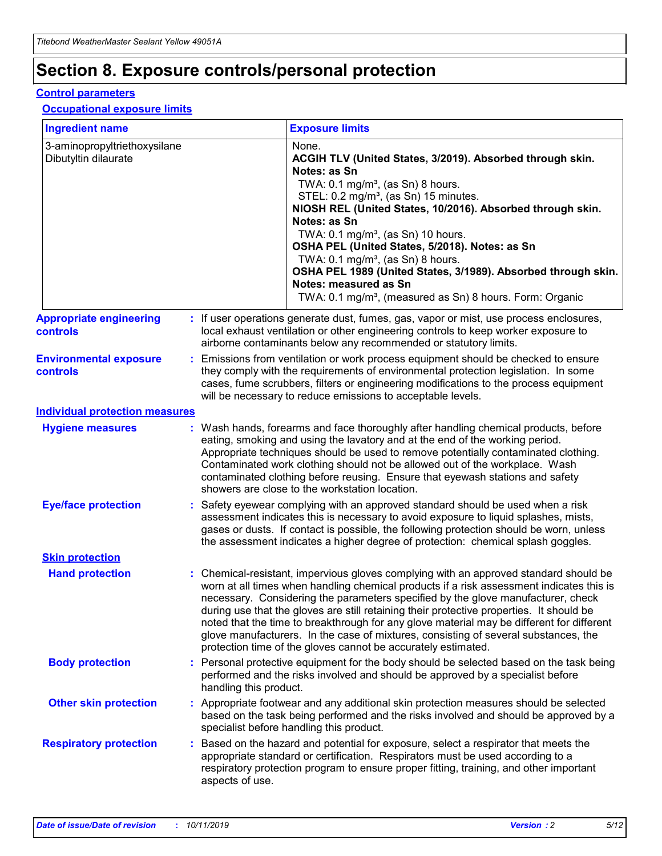## **Section 8. Exposure controls/personal protection**

#### **Control parameters**

#### **Occupational exposure limits**

| <b>Ingredient name</b>                               |    |                                          | <b>Exposure limits</b>                                                                                                                                                                                                                                                                                                                                                                                                                                                                                                                                                                                                 |
|------------------------------------------------------|----|------------------------------------------|------------------------------------------------------------------------------------------------------------------------------------------------------------------------------------------------------------------------------------------------------------------------------------------------------------------------------------------------------------------------------------------------------------------------------------------------------------------------------------------------------------------------------------------------------------------------------------------------------------------------|
| 3-aminopropyltriethoxysilane<br>Dibutyltin dilaurate |    |                                          | None.<br>ACGIH TLV (United States, 3/2019). Absorbed through skin.<br>Notes: as Sn<br>TWA: 0.1 mg/m <sup>3</sup> , (as Sn) 8 hours.<br>STEL: 0.2 mg/m <sup>3</sup> , (as Sn) 15 minutes.<br>NIOSH REL (United States, 10/2016). Absorbed through skin.<br>Notes: as Sn<br>TWA: 0.1 mg/m <sup>3</sup> , (as Sn) 10 hours.<br>OSHA PEL (United States, 5/2018). Notes: as Sn<br>TWA: $0.1 \text{ mg/m}^3$ , (as Sn) 8 hours.<br>OSHA PEL 1989 (United States, 3/1989). Absorbed through skin.<br>Notes: measured as Sn<br>TWA: 0.1 mg/m <sup>3</sup> , (measured as Sn) 8 hours. Form: Organic                           |
| <b>Appropriate engineering</b><br>controls           |    |                                          | : If user operations generate dust, fumes, gas, vapor or mist, use process enclosures,<br>local exhaust ventilation or other engineering controls to keep worker exposure to<br>airborne contaminants below any recommended or statutory limits.                                                                                                                                                                                                                                                                                                                                                                       |
| <b>Environmental exposure</b><br><b>controls</b>     |    |                                          | Emissions from ventilation or work process equipment should be checked to ensure<br>they comply with the requirements of environmental protection legislation. In some<br>cases, fume scrubbers, filters or engineering modifications to the process equipment<br>will be necessary to reduce emissions to acceptable levels.                                                                                                                                                                                                                                                                                          |
| <b>Individual protection measures</b>                |    |                                          |                                                                                                                                                                                                                                                                                                                                                                                                                                                                                                                                                                                                                        |
| <b>Hygiene measures</b>                              |    |                                          | : Wash hands, forearms and face thoroughly after handling chemical products, before<br>eating, smoking and using the lavatory and at the end of the working period.<br>Appropriate techniques should be used to remove potentially contaminated clothing.<br>Contaminated work clothing should not be allowed out of the workplace. Wash<br>contaminated clothing before reusing. Ensure that eyewash stations and safety<br>showers are close to the workstation location.                                                                                                                                            |
| <b>Eye/face protection</b>                           |    |                                          | : Safety eyewear complying with an approved standard should be used when a risk<br>assessment indicates this is necessary to avoid exposure to liquid splashes, mists,<br>gases or dusts. If contact is possible, the following protection should be worn, unless<br>the assessment indicates a higher degree of protection: chemical splash goggles.                                                                                                                                                                                                                                                                  |
| <b>Skin protection</b>                               |    |                                          |                                                                                                                                                                                                                                                                                                                                                                                                                                                                                                                                                                                                                        |
| <b>Hand protection</b>                               |    |                                          | : Chemical-resistant, impervious gloves complying with an approved standard should be<br>worn at all times when handling chemical products if a risk assessment indicates this is<br>necessary. Considering the parameters specified by the glove manufacturer, check<br>during use that the gloves are still retaining their protective properties. It should be<br>noted that the time to breakthrough for any glove material may be different for different<br>glove manufacturers. In the case of mixtures, consisting of several substances, the<br>protection time of the gloves cannot be accurately estimated. |
| <b>Body protection</b>                               |    | handling this product.                   | Personal protective equipment for the body should be selected based on the task being<br>performed and the risks involved and should be approved by a specialist before                                                                                                                                                                                                                                                                                                                                                                                                                                                |
| <b>Other skin protection</b>                         |    | specialist before handling this product. | : Appropriate footwear and any additional skin protection measures should be selected<br>based on the task being performed and the risks involved and should be approved by a                                                                                                                                                                                                                                                                                                                                                                                                                                          |
| <b>Respiratory protection</b>                        | ÷. | aspects of use.                          | Based on the hazard and potential for exposure, select a respirator that meets the<br>appropriate standard or certification. Respirators must be used according to a<br>respiratory protection program to ensure proper fitting, training, and other important                                                                                                                                                                                                                                                                                                                                                         |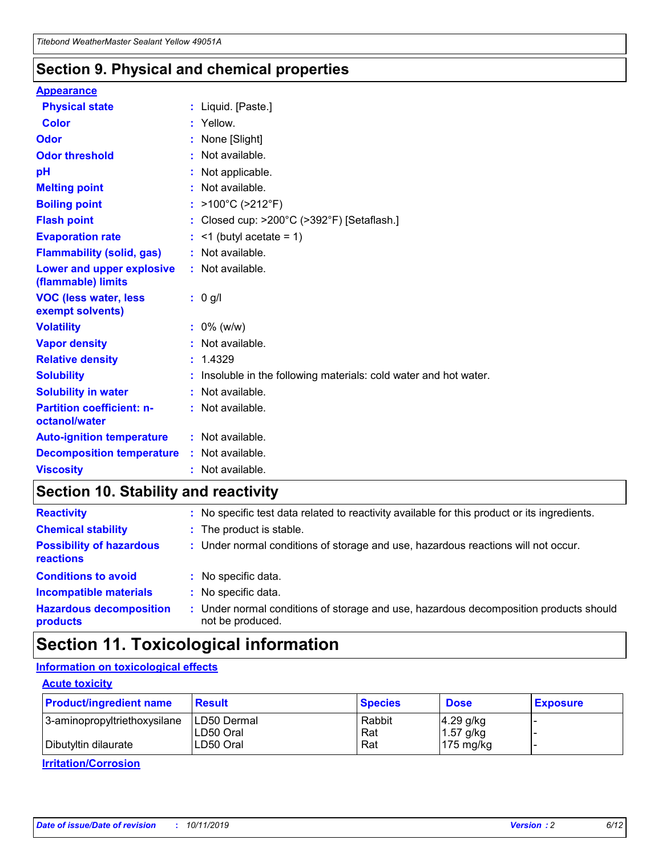### **Section 9. Physical and chemical properties**

#### **Appearance**

| <b>Physical state</b>                             | : Liquid. [Paste.]                                                |
|---------------------------------------------------|-------------------------------------------------------------------|
| <b>Color</b>                                      | Yellow.                                                           |
| Odor                                              | None [Slight]                                                     |
| <b>Odor threshold</b>                             | : Not available.                                                  |
| рH                                                | : Not applicable.                                                 |
| <b>Melting point</b>                              | : Not available.                                                  |
| <b>Boiling point</b>                              | : $>100^{\circ}$ C ( $>212^{\circ}$ F)                            |
| <b>Flash point</b>                                | : Closed cup: >200°C (>392°F) [Setaflash.]                        |
| <b>Evaporation rate</b>                           | $:$ <1 (butyl acetate = 1)                                        |
| <b>Flammability (solid, gas)</b>                  | : Not available.                                                  |
| Lower and upper explosive<br>(flammable) limits   | : Not available.                                                  |
| <b>VOC (less water, less</b><br>exempt solvents)  | $: 0$ g/l                                                         |
| <b>Volatility</b>                                 | $: 0\%$ (w/w)                                                     |
| <b>Vapor density</b>                              | : Not available.                                                  |
| <b>Relative density</b>                           | : 1.4329                                                          |
| <b>Solubility</b>                                 | : Insoluble in the following materials: cold water and hot water. |
| <b>Solubility in water</b>                        | : Not available.                                                  |
| <b>Partition coefficient: n-</b><br>octanol/water | : Not available.                                                  |
| <b>Auto-ignition temperature</b>                  | $:$ Not available.                                                |
| <b>Decomposition temperature</b>                  | : Not available.                                                  |
| <b>Viscosity</b>                                  | : Not available.                                                  |

### **Section 10. Stability and reactivity**

| <b>Reactivity</b>                            |    | : No specific test data related to reactivity available for this product or its ingredients.            |
|----------------------------------------------|----|---------------------------------------------------------------------------------------------------------|
| <b>Chemical stability</b>                    |    | : The product is stable.                                                                                |
| <b>Possibility of hazardous</b><br>reactions |    | : Under normal conditions of storage and use, hazardous reactions will not occur.                       |
| <b>Conditions to avoid</b>                   |    | : No specific data.                                                                                     |
| <b>Incompatible materials</b>                | ٠. | No specific data.                                                                                       |
| <b>Hazardous decomposition</b><br>products   | ÷. | Under normal conditions of storage and use, hazardous decomposition products should<br>not be produced. |

### **Section 11. Toxicological information**

### **Information on toxicological effects**

#### **Acute toxicity**

| <b>Product/ingredient name</b> | <b>Result</b>           | <b>Species</b> | <b>Dose</b>                | <b>Exposure</b> |
|--------------------------------|-------------------------|----------------|----------------------------|-----------------|
| 3-aminopropyltriethoxysilane   | <b>ILD50 Dermal</b>     | Rabbit         | 4.29 g/kg                  |                 |
| Dibutyltin dilaurate           | ILD50 Oral<br>LD50 Oral | Rat<br>Rat     | $1.57$ g/kg<br>175 $mg/kg$ |                 |
|                                |                         |                |                            |                 |

**Irritation/Corrosion**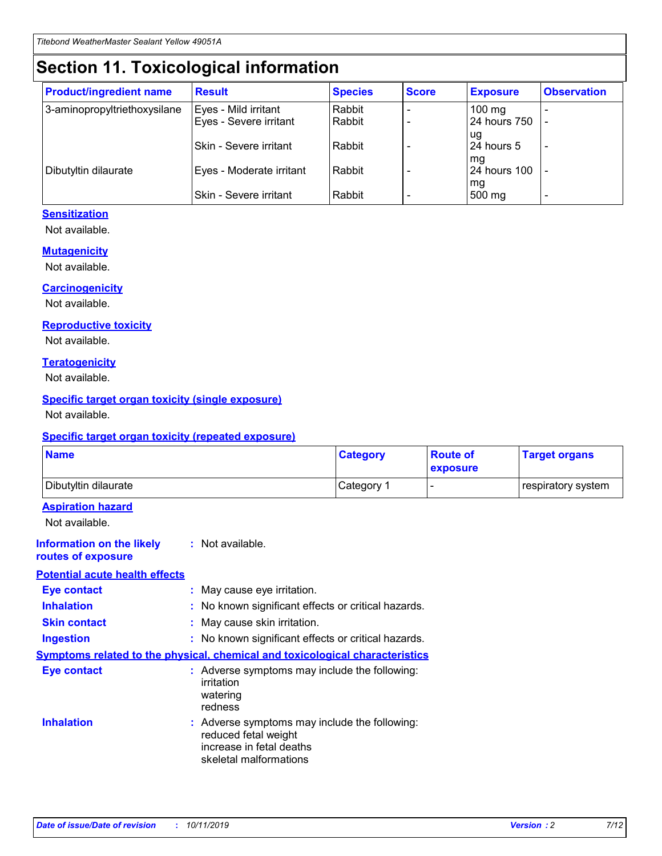## **Section 11. Toxicological information**

| <b>Product/ingredient name</b> | <b>Result</b>            | <b>Species</b> | <b>Score</b> | <b>Exposure</b>           | <b>Observation</b> |
|--------------------------------|--------------------------|----------------|--------------|---------------------------|--------------------|
| 3-aminopropyltriethoxysilane   | Eyes - Mild irritant     | Rabbit         |              | $100$ mg                  |                    |
|                                | Eyes - Severe irritant   | Rabbit         |              | 24 hours 750              |                    |
|                                |                          |                |              | ug                        |                    |
|                                | Skin - Severe irritant   | Rabbit         |              | 24 hours 5                | -                  |
| Dibutyltin dilaurate           | Eyes - Moderate irritant | Rabbit         |              | mq<br><b>24 hours 100</b> |                    |
|                                |                          |                |              | mg                        |                    |
|                                | Skin - Severe irritant   | Rabbit         |              | 500 mg                    |                    |

#### **Sensitization**

Not available.

#### **Mutagenicity**

Not available.

#### **Carcinogenicity**

Not available.

#### **Reproductive toxicity**

Not available.

#### **Teratogenicity**

Not available.

#### **Specific target organ toxicity (single exposure)**

Not available.

#### **Specific target organ toxicity (repeated exposure)**

| <b>Name</b>                                                                         |                                                                            | <b>Category</b>                                     | <b>Route of</b><br>exposure | <b>Target organs</b> |
|-------------------------------------------------------------------------------------|----------------------------------------------------------------------------|-----------------------------------------------------|-----------------------------|----------------------|
| Dibutyltin dilaurate                                                                |                                                                            | Category 1                                          |                             | respiratory system   |
| <b>Aspiration hazard</b><br>Not available.                                          |                                                                            |                                                     |                             |                      |
| <b>Information on the likely</b><br>routes of exposure                              | : Not available.                                                           |                                                     |                             |                      |
| <b>Potential acute health effects</b>                                               |                                                                            |                                                     |                             |                      |
| <b>Eye contact</b>                                                                  | : May cause eye irritation.                                                |                                                     |                             |                      |
| <b>Inhalation</b>                                                                   |                                                                            | : No known significant effects or critical hazards. |                             |                      |
| <b>Skin contact</b>                                                                 | : May cause skin irritation.                                               |                                                     |                             |                      |
| <b>Ingestion</b>                                                                    |                                                                            | : No known significant effects or critical hazards. |                             |                      |
| <b>Symptoms related to the physical, chemical and toxicological characteristics</b> |                                                                            |                                                     |                             |                      |
| <b>Eye contact</b>                                                                  | irritation<br>watering<br>redness                                          | : Adverse symptoms may include the following:       |                             |                      |
| <b>Inhalation</b>                                                                   | reduced fetal weight<br>increase in fetal deaths<br>skeletal malformations | : Adverse symptoms may include the following:       |                             |                      |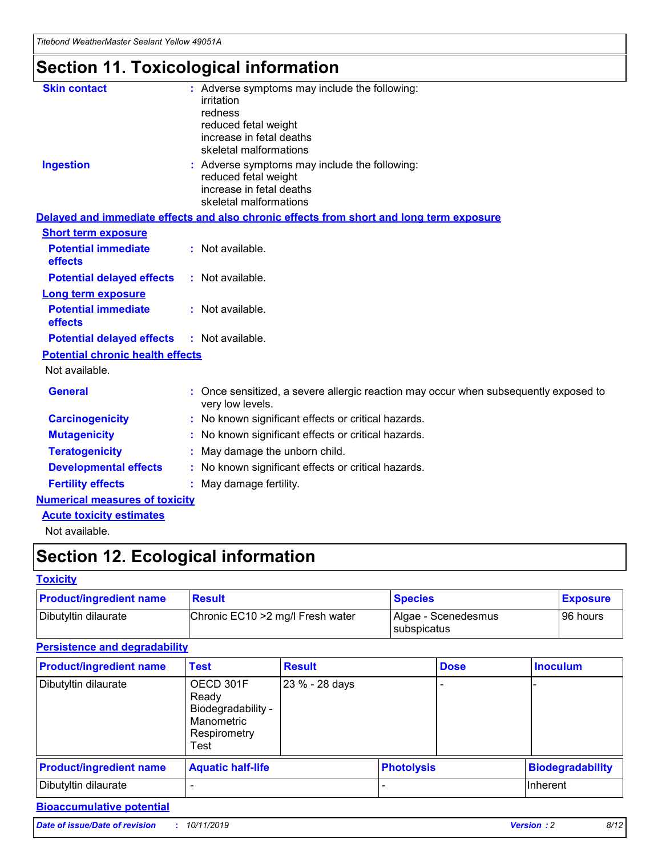*Titebond WeatherMaster Sealant Yellow 49051A*

## **Section 11. Toxicological information**

| <b>Skin contact</b>                     | : Adverse symptoms may include the following:<br>irritation<br>redness<br>reduced fetal weight<br>increase in fetal deaths<br>skeletal malformations |
|-----------------------------------------|------------------------------------------------------------------------------------------------------------------------------------------------------|
| <b>Ingestion</b>                        | : Adverse symptoms may include the following:<br>reduced fetal weight<br>increase in fetal deaths<br>skeletal malformations                          |
|                                         | Delayed and immediate effects and also chronic effects from short and long term exposure                                                             |
| <b>Short term exposure</b>              |                                                                                                                                                      |
| <b>Potential immediate</b><br>effects   | : Not available.                                                                                                                                     |
| <b>Potential delayed effects</b>        | : Not available.                                                                                                                                     |
| Long term exposure                      |                                                                                                                                                      |
| <b>Potential immediate</b><br>effects   | : Not available.                                                                                                                                     |
| <b>Potential delayed effects</b>        | : Not available.                                                                                                                                     |
| <b>Potential chronic health effects</b> |                                                                                                                                                      |
| Not available.                          |                                                                                                                                                      |
| <b>General</b>                          | Once sensitized, a severe allergic reaction may occur when subsequently exposed to<br>very low levels.                                               |
| <b>Carcinogenicity</b>                  | : No known significant effects or critical hazards.                                                                                                  |
| <b>Mutagenicity</b>                     | : No known significant effects or critical hazards.                                                                                                  |
| <b>Teratogenicity</b>                   | May damage the unborn child.                                                                                                                         |
| <b>Developmental effects</b>            | : No known significant effects or critical hazards.                                                                                                  |
| <b>Fertility effects</b>                | : May damage fertility.                                                                                                                              |
| <b>Numerical measures of toxicity</b>   |                                                                                                                                                      |
| <b>Acute toxicity estimates</b>         |                                                                                                                                                      |
| الملمانون بمللملة                       |                                                                                                                                                      |

Not available.

## **Section 12. Ecological information**

#### **Toxicity**

| <b>Product/ingredient name</b> | <b>Result</b>                     | <b>Species</b>                       | <b>Exposure</b> |
|--------------------------------|-----------------------------------|--------------------------------------|-----------------|
| Dibutyltin dilaurate           | Chronic EC10 > 2 mg/l Fresh water | Algae - Scenedesmus<br>I subspicatus | l 96 hours i    |

### **Persistence and degradability**

| <b>Product/ingredient name</b> | <b>Test</b>                                                                    | <b>Result</b>  |  | <b>Dose</b>       | <b>Inoculum</b>         |
|--------------------------------|--------------------------------------------------------------------------------|----------------|--|-------------------|-------------------------|
| Dibutyltin dilaurate           | OECD 301F<br>Ready<br>Biodegradability -<br>Manometric<br>Respirometry<br>Test | 23 % - 28 days |  |                   |                         |
| <b>Product/ingredient name</b> | <b>Aquatic half-life</b>                                                       |                |  | <b>Photolysis</b> | <b>Biodegradability</b> |
| Dibutyltin dilaurate           |                                                                                |                |  |                   | Inherent                |

### **Bioaccumulative potential**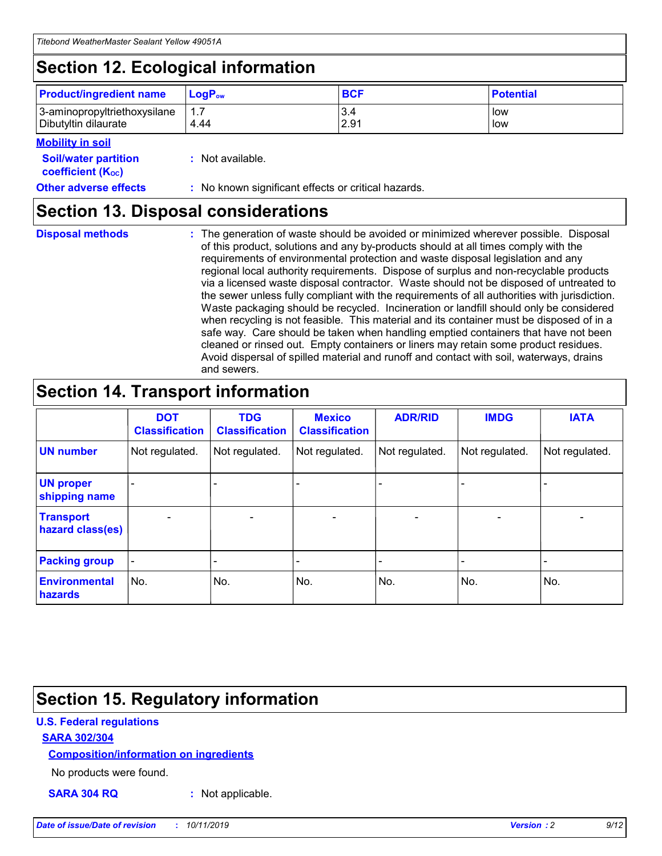## **Section 12. Ecological information**

| <b>Product/ingredient name</b>                       | ∣LoqP <sub>ow</sub> | <b>BCF</b>  | <b>Potential</b> |
|------------------------------------------------------|---------------------|-------------|------------------|
| 3-aminopropyltriethoxysilane<br>Dibutyltin dilaurate | 4.44                | 3.4<br>2.91 | low<br>low       |

#### **Mobility in soil**

| <b>Soil/water partition</b><br>coefficient (K <sub>oc</sub> ) | : Not available.                                    |
|---------------------------------------------------------------|-----------------------------------------------------|
| <b>Other adverse effects</b>                                  | : No known significant effects or critical hazards. |

### **Section 13. Disposal considerations**

| <b>Disposal methods</b> |  |  |
|-------------------------|--|--|

**Disposal methods** : The generation of waste should be avoided or minimized wherever possible. Disposal of this product, solutions and any by-products should at all times comply with the requirements of environmental protection and waste disposal legislation and any regional local authority requirements. Dispose of surplus and non-recyclable products via a licensed waste disposal contractor. Waste should not be disposed of untreated to the sewer unless fully compliant with the requirements of all authorities with jurisdiction. Waste packaging should be recycled. Incineration or landfill should only be considered when recycling is not feasible. This material and its container must be disposed of in a safe way. Care should be taken when handling emptied containers that have not been cleaned or rinsed out. Empty containers or liners may retain some product residues. Avoid dispersal of spilled material and runoff and contact with soil, waterways, drains and sewers.

## **Section 14. Transport information**

|                                      | <b>DOT</b><br><b>Classification</b> | <b>TDG</b><br><b>Classification</b> | <b>Mexico</b><br><b>Classification</b> | <b>ADR/RID</b>           | <b>IMDG</b>                  | <b>IATA</b>    |
|--------------------------------------|-------------------------------------|-------------------------------------|----------------------------------------|--------------------------|------------------------------|----------------|
| <b>UN number</b>                     | Not regulated.                      | Not regulated.                      | Not regulated.                         | Not regulated.           | Not regulated.               | Not regulated. |
| <b>UN proper</b><br>shipping name    |                                     |                                     |                                        |                          |                              |                |
| <b>Transport</b><br>hazard class(es) | $\qquad \qquad \blacksquare$        | $\qquad \qquad \blacksquare$        | $\overline{\phantom{a}}$               | $\overline{\phantom{a}}$ | $\overline{\phantom{a}}$     | $\blacksquare$ |
| <b>Packing group</b>                 | $\overline{\phantom{a}}$            |                                     |                                        |                          | $\qquad \qquad \blacksquare$ |                |
| <b>Environmental</b><br>hazards      | No.                                 | No.                                 | No.                                    | No.                      | No.                          | No.            |

## **Section 15. Regulatory information**

#### **U.S. Federal regulations**

#### **SARA 302/304**

#### **Composition/information on ingredients**

No products were found.

**SARA 304 RQ :** Not applicable.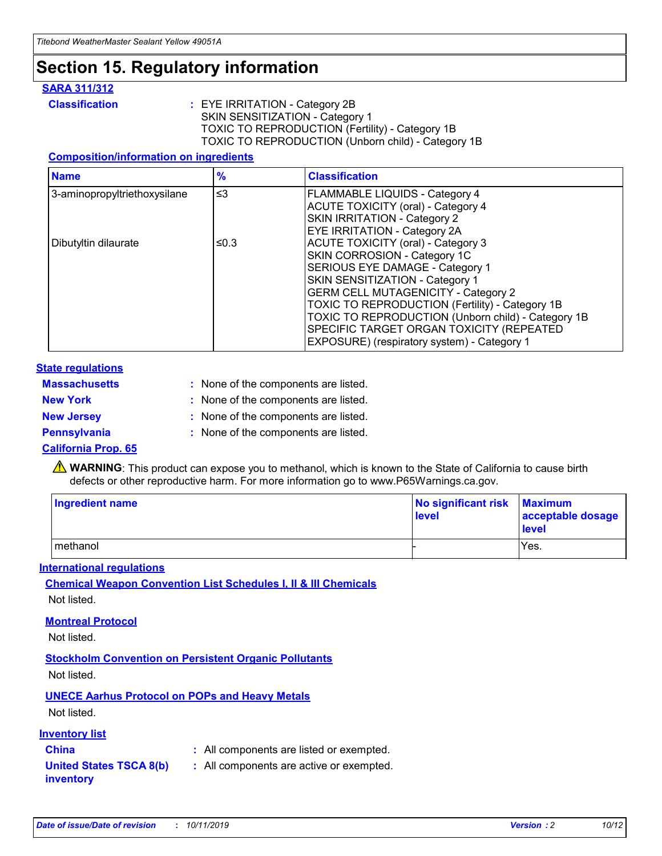## **Section 15. Regulatory information**

#### **SARA 311/312**

**Classification :** EYE IRRITATION - Category 2B SKIN SENSITIZATION - Category 1 TOXIC TO REPRODUCTION (Fertility) - Category 1B TOXIC TO REPRODUCTION (Unborn child) - Category 1B

#### **Composition/information on ingredients**

| <b>Name</b>                  | $\frac{9}{6}$ | <b>Classification</b>                                                                                            |
|------------------------------|---------------|------------------------------------------------------------------------------------------------------------------|
| 3-aminopropyltriethoxysilane | $\leq$ 3      | <b>FLAMMABLE LIQUIDS - Category 4</b><br><b>ACUTE TOXICITY (oral) - Category 4</b>                               |
|                              |               | SKIN IRRITATION - Category 2<br><b>EYE IRRITATION - Category 2A</b>                                              |
| Dibutyltin dilaurate         | ≤0.3          | ACUTE TOXICITY (oral) - Category 3<br>SKIN CORROSION - Category 1C                                               |
|                              |               | SERIOUS EYE DAMAGE - Category 1<br>SKIN SENSITIZATION - Category 1<br><b>GERM CELL MUTAGENICITY - Category 2</b> |
|                              |               | TOXIC TO REPRODUCTION (Fertility) - Category 1B<br>TOXIC TO REPRODUCTION (Unborn child) - Category 1B            |
|                              |               | SPECIFIC TARGET ORGAN TOXICITY (REPEATED<br>EXPOSURE) (respiratory system) - Category 1                          |

#### **State regulations**

| <b>Massachusetts</b> | : None of the components are listed. |
|----------------------|--------------------------------------|
| <b>New York</b>      | : None of the components are listed. |
| <b>New Jersey</b>    | : None of the components are listed. |
| <b>Pennsylvania</b>  | : None of the components are listed. |

#### **California Prop. 65**

**A** WARNING: This product can expose you to methanol, which is known to the State of California to cause birth defects or other reproductive harm. For more information go to www.P65Warnings.ca.gov.

| <b>Ingredient name</b> | No significant risk Maximum<br>level | acceptable dosage<br>level |
|------------------------|--------------------------------------|----------------------------|
| methanol               |                                      | Yes.                       |

#### **International regulations**

**Chemical Weapon Convention List Schedules I, II & III Chemicals** Not listed.

#### **Montreal Protocol**

Not listed.

**Stockholm Convention on Persistent Organic Pollutants**

Not listed.

### **UNECE Aarhus Protocol on POPs and Heavy Metals**

Not listed.

#### **Inventory list**

### **China :** All components are listed or exempted.

**United States TSCA 8(b) inventory :** All components are active or exempted.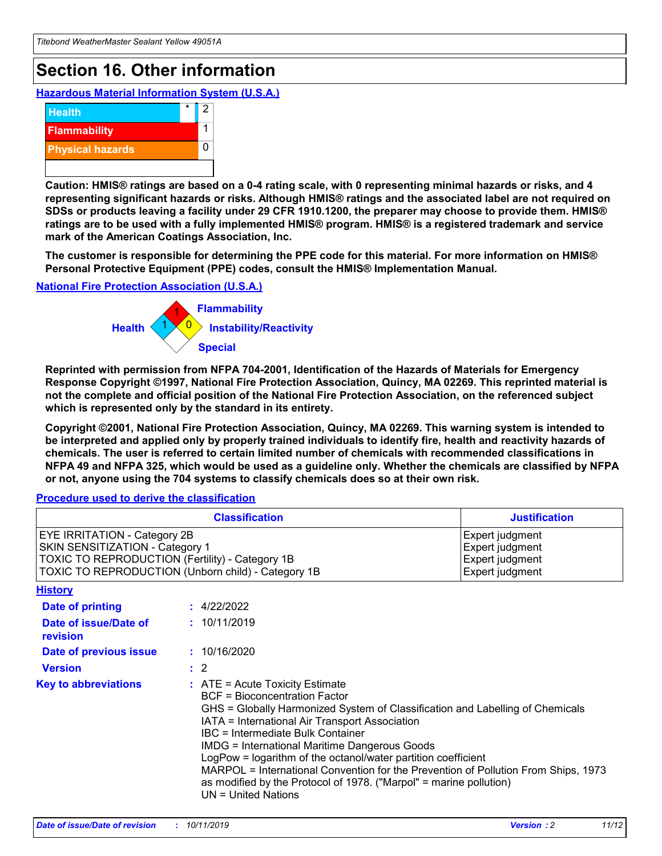## **Section 16. Other information**

**Hazardous Material Information System (U.S.A.)**



**Caution: HMIS® ratings are based on a 0-4 rating scale, with 0 representing minimal hazards or risks, and 4 representing significant hazards or risks. Although HMIS® ratings and the associated label are not required on SDSs or products leaving a facility under 29 CFR 1910.1200, the preparer may choose to provide them. HMIS® ratings are to be used with a fully implemented HMIS® program. HMIS® is a registered trademark and service mark of the American Coatings Association, Inc.**

**The customer is responsible for determining the PPE code for this material. For more information on HMIS® Personal Protective Equipment (PPE) codes, consult the HMIS® Implementation Manual.**

#### **National Fire Protection Association (U.S.A.)**



**Reprinted with permission from NFPA 704-2001, Identification of the Hazards of Materials for Emergency Response Copyright ©1997, National Fire Protection Association, Quincy, MA 02269. This reprinted material is not the complete and official position of the National Fire Protection Association, on the referenced subject which is represented only by the standard in its entirety.**

**Copyright ©2001, National Fire Protection Association, Quincy, MA 02269. This warning system is intended to be interpreted and applied only by properly trained individuals to identify fire, health and reactivity hazards of chemicals. The user is referred to certain limited number of chemicals with recommended classifications in NFPA 49 and NFPA 325, which would be used as a guideline only. Whether the chemicals are classified by NFPA or not, anyone using the 704 systems to classify chemicals does so at their own risk.**

#### **Procedure used to derive the classification**

|                                                                                                                    | <b>Classification</b>                                                                                                                                                                                                                                                                                                                                                                                                                                                                                                                                         | <b>Justification</b>                                                     |
|--------------------------------------------------------------------------------------------------------------------|---------------------------------------------------------------------------------------------------------------------------------------------------------------------------------------------------------------------------------------------------------------------------------------------------------------------------------------------------------------------------------------------------------------------------------------------------------------------------------------------------------------------------------------------------------------|--------------------------------------------------------------------------|
| EYE IRRITATION - Category 2B<br>SKIN SENSITIZATION - Category 1<br>TOXIC TO REPRODUCTION (Fertility) - Category 1B | TOXIC TO REPRODUCTION (Unborn child) - Category 1B                                                                                                                                                                                                                                                                                                                                                                                                                                                                                                            | Expert judgment<br>Expert judgment<br>Expert judgment<br>Expert judgment |
| <b>History</b>                                                                                                     |                                                                                                                                                                                                                                                                                                                                                                                                                                                                                                                                                               |                                                                          |
| Date of printing                                                                                                   | : 4/22/2022                                                                                                                                                                                                                                                                                                                                                                                                                                                                                                                                                   |                                                                          |
| Date of issue/Date of<br>revision                                                                                  | : 10/11/2019                                                                                                                                                                                                                                                                                                                                                                                                                                                                                                                                                  |                                                                          |
| Date of previous issue                                                                                             | : 10/16/2020                                                                                                                                                                                                                                                                                                                                                                                                                                                                                                                                                  |                                                                          |
| <b>Version</b>                                                                                                     | $\therefore$ 2                                                                                                                                                                                                                                                                                                                                                                                                                                                                                                                                                |                                                                          |
| <b>Key to abbreviations</b>                                                                                        | $:$ ATE = Acute Toxicity Estimate<br><b>BCF</b> = Bioconcentration Factor<br>GHS = Globally Harmonized System of Classification and Labelling of Chemicals<br>IATA = International Air Transport Association<br>IBC = Intermediate Bulk Container<br><b>IMDG = International Maritime Dangerous Goods</b><br>LogPow = logarithm of the octanol/water partition coefficient<br>MARPOL = International Convention for the Prevention of Pollution From Ships, 1973<br>as modified by the Protocol of 1978. ("Marpol" = marine pollution)<br>UN = United Nations |                                                                          |